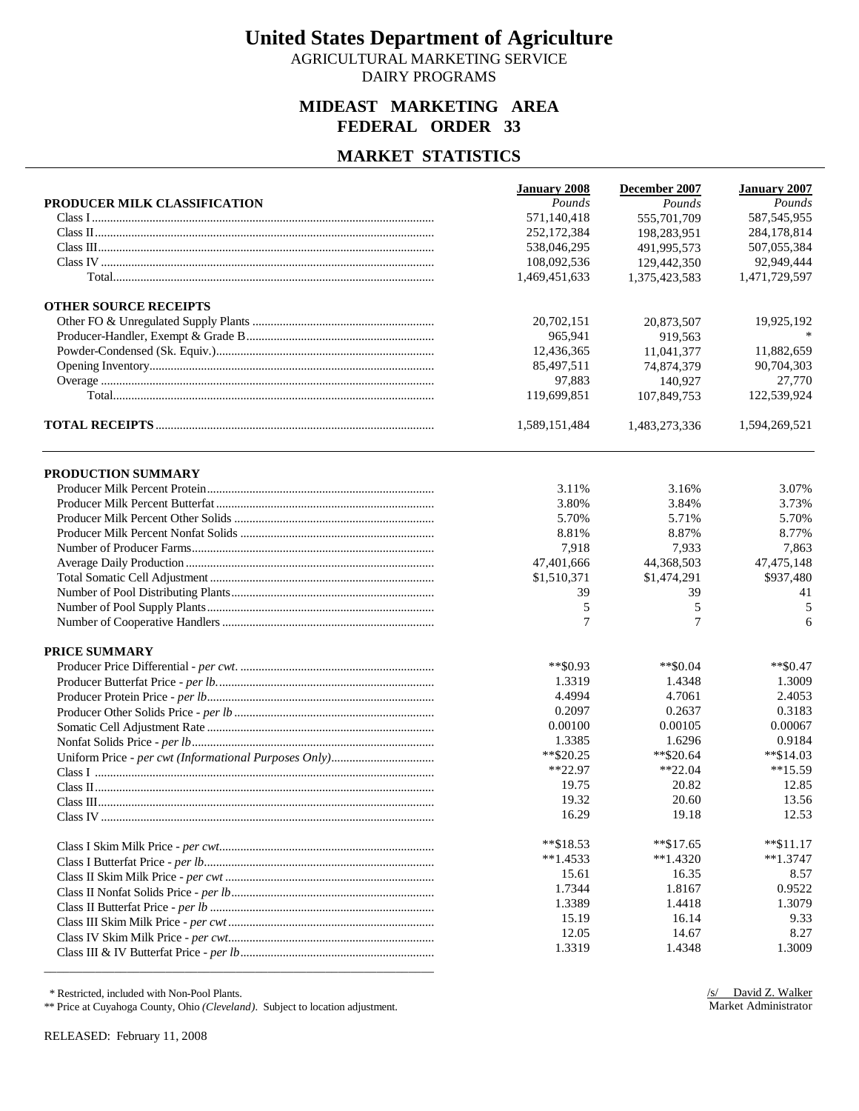AGRICULTURAL MARKETING SERVICE DAIRY PROGRAMS

### **MIDEAST MARKETING AREA FEDERAL ORDER 33**

### **MARKET STATISTICS**

|                              | <b>January 2008</b> | December 2007 | <b>January 2007</b> |
|------------------------------|---------------------|---------------|---------------------|
| PRODUCER MILK CLASSIFICATION | Pounds              | Pounds        | Pounds              |
|                              | 571,140,418         | 555,701,709   | 587, 545, 955       |
|                              | 252,172,384         | 198,283,951   | 284,178,814         |
|                              | 538,046,295         | 491,995,573   | 507,055,384         |
|                              | 108,092,536         | 129,442,350   | 92,949,444          |
|                              | 1,469,451,633       | 1,375,423,583 | 1,471,729,597       |
| <b>OTHER SOURCE RECEIPTS</b> |                     |               |                     |
|                              | 20,702,151          | 20,873,507    | 19,925,192          |
|                              | 965,941             | 919,563       |                     |
|                              | 12,436,365          | 11,041,377    | 11,882,659          |
|                              | 85,497,511          | 74,874,379    | 90,704,303          |
|                              | 97,883              | 140.927       | 27,770              |
|                              | 119,699,851         | 107,849,753   | 122,539,924         |
|                              | 1,589,151,484       | 1,483,273,336 | 1,594,269,521       |
| PRODUCTION SUMMARY           |                     |               |                     |
|                              | 3.11%               | 3.16%         | 3.07%               |
|                              | 3.80%               | 3.84%         | 3.73%               |
|                              | 5.70%               | 5.71%         | 5.70%               |
|                              | 8.81%               | 8.87%         | 8.77%               |
|                              | 7,918               | 7,933         | 7,863               |
|                              | 47,401,666          | 44,368,503    | 47, 475, 148        |
|                              | \$1,510,371         | \$1,474,291   | \$937,480           |
|                              | 39                  | 39            | 41                  |
|                              | 5                   | 5             | 5                   |
|                              | 7                   | 7             | 6                   |
| PRICE SUMMARY                |                     |               |                     |
|                              | $*$ $$0.93$         | $*$ \$0.04    | $*$ \$0.47          |
|                              | 1.3319              | 1.4348        | 1.3009              |
|                              | 4.4994              | 4.7061        | 2.4053              |
|                              | 0.2097              | 0.2637        | 0.3183              |
|                              | 0.00100             | 0.00105       | 0.00067             |
|                              | 1.3385              | 1.6296        | 0.9184              |
|                              | $*$ \$20.25         | $*820.64$     | $*$ \$14.03         |
|                              | $*22.97$            | $*22.04$      | $**15.59$           |
|                              | 19.75               | 20.82         | 12.85               |
|                              | 19.32               | 20.60         | 13.56               |
|                              | 16.29               | 19.18         | 12.53               |
|                              | **\$18.53           | $*$ $$17.65$  | $*$ $$11.17$        |
|                              | $**1.4533$          | $*1.4320$     | $**1.3747$          |
|                              | 15.61               | 16.35         | 8.57                |
|                              | 1.7344              | 1.8167        | 0.9522              |
|                              | 1.3389              | 1.4418        | 1.3079              |
|                              | 15.19               | 16.14         | 9.33                |
|                              | 12.05               | 14.67         | 8.27                |
|                              | 1.3319              | 1.4348        | 1.3009              |

\* Restricted, included with Non-Pool Plants.

\*\* Price at Cuyahoga County, Ohio *(Cleveland)*. Subject to location adjustment.

\_\_\_\_\_\_\_\_\_\_\_\_\_\_\_\_\_\_\_\_\_\_\_\_\_\_\_\_\_\_\_\_\_\_\_\_\_\_\_\_\_\_\_\_\_\_\_\_\_\_\_\_\_\_\_\_\_\_\_\_\_

RELEASED: February 11, 2008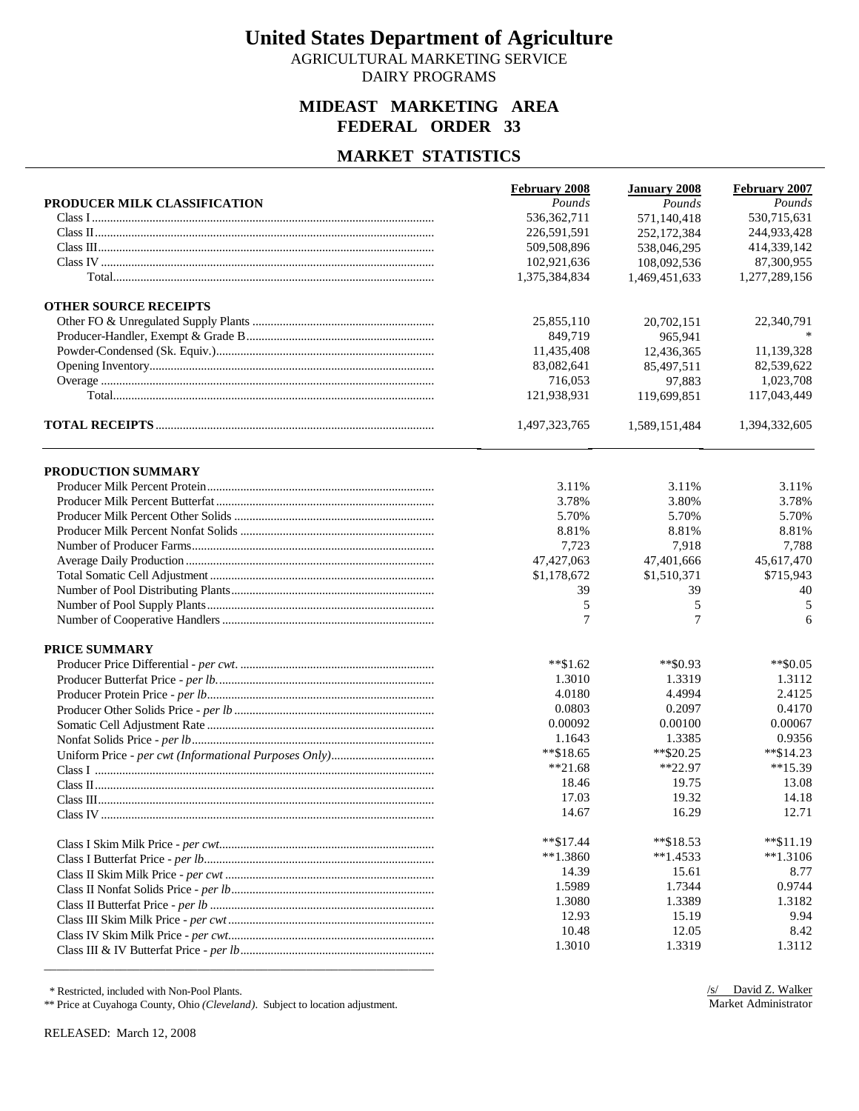AGRICULTURAL MARKETING SERVICE DAIRY PROGRAMS

### **MIDEAST MARKETING AREA FEDERAL ORDER 33**

#### **MARKET STATISTICS**

|                              | <b>February 2008</b> | <b>January 2008</b> | February 2007 |
|------------------------------|----------------------|---------------------|---------------|
| PRODUCER MILK CLASSIFICATION | Pounds               | Pounds              | Pounds        |
|                              | 536, 362, 711        | 571,140,418         | 530,715,631   |
|                              | 226,591,591          | 252,172,384         | 244,933,428   |
|                              | 509,508,896          | 538,046,295         | 414,339,142   |
|                              | 102,921,636          | 108,092,536         | 87,300,955    |
|                              | 1,375,384,834        | 1,469,451,633       | 1,277,289,156 |
| <b>OTHER SOURCE RECEIPTS</b> |                      |                     |               |
|                              | 25,855,110           | 20,702,151          | 22,340,791    |
|                              | 849,719              | 965,941             |               |
|                              | 11,435,408           | 12.436.365          | 11,139,328    |
|                              | 83,082,641           | 85,497,511          | 82,539,622    |
|                              | 716,053              | 97,883              | 1,023,708     |
|                              | 121,938,931          | 119,699,851         | 117,043,449   |
|                              | 1,497,323,765        | 1,589,151,484       | 1,394,332,605 |
| PRODUCTION SUMMARY           |                      |                     |               |
|                              | 3.11%                | 3.11%               | 3.11%         |
|                              | 3.78%                | 3.80%               | 3.78%         |
|                              | 5.70%                | 5.70%               | 5.70%         |
|                              | 8.81%                | 8.81%               | 8.81%         |
|                              | 7,723                | 7,918               | 7,788         |
|                              | 47,427,063           | 47,401,666          | 45,617,470    |
|                              | \$1,178,672          | \$1,510,371         | \$715,943     |
|                              | 39                   | 39                  | 40            |
|                              | 5                    | 5                   | 5             |
|                              | 7                    | $\tau$              | 6             |
| <b>PRICE SUMMARY</b>         |                      |                     |               |
|                              | $*$ \$1.62           | $*$ \$0.93          | $**$ \$0.05   |
|                              | 1.3010               | 1.3319              | 1.3112        |
|                              | 4.0180               | 4.4994              | 2.4125        |
|                              | 0.0803               | 0.2097              | 0.4170        |
|                              | 0.00092              | 0.00100             | 0.00067       |
|                              | 1.1643               | 1.3385              | 0.9356        |
|                              | $*$ \$18.65          | $*$ \$20.25         | $*$ \$14.23   |
|                              | $**21.68$            | $*22.97$            | $**15.39$     |
|                              | 18.46                | 19.75               | 13.08         |
|                              | 17.03                | 19.32               | 14.18         |
|                              | 14.67                | 16.29               | 12.71         |
|                              | $*$ $$17.44$         | $*$ $$18.53$        | $*$ \$11.19   |
|                              | $**1.3860$           | $*1.4533$           | $*1.3106$     |
|                              | 14.39                | 15.61               | 8.77          |
|                              | 1.5989               | 1.7344              | 0.9744        |
|                              | 1.3080               | 1.3389              | 1.3182        |
|                              | 12.93                | 15.19               | 9.94          |
|                              | 10.48                | 12.05               | 8.42          |
|                              | 1.3010               | 1.3319              | 1.3112        |
|                              |                      |                     |               |

\* Restricted, included with Non-Pool Plants.

\*\* Price at Cuyahoga County, Ohio *(Cleveland)*. Subject to location adjustment.

RELEASED: March 12, 2008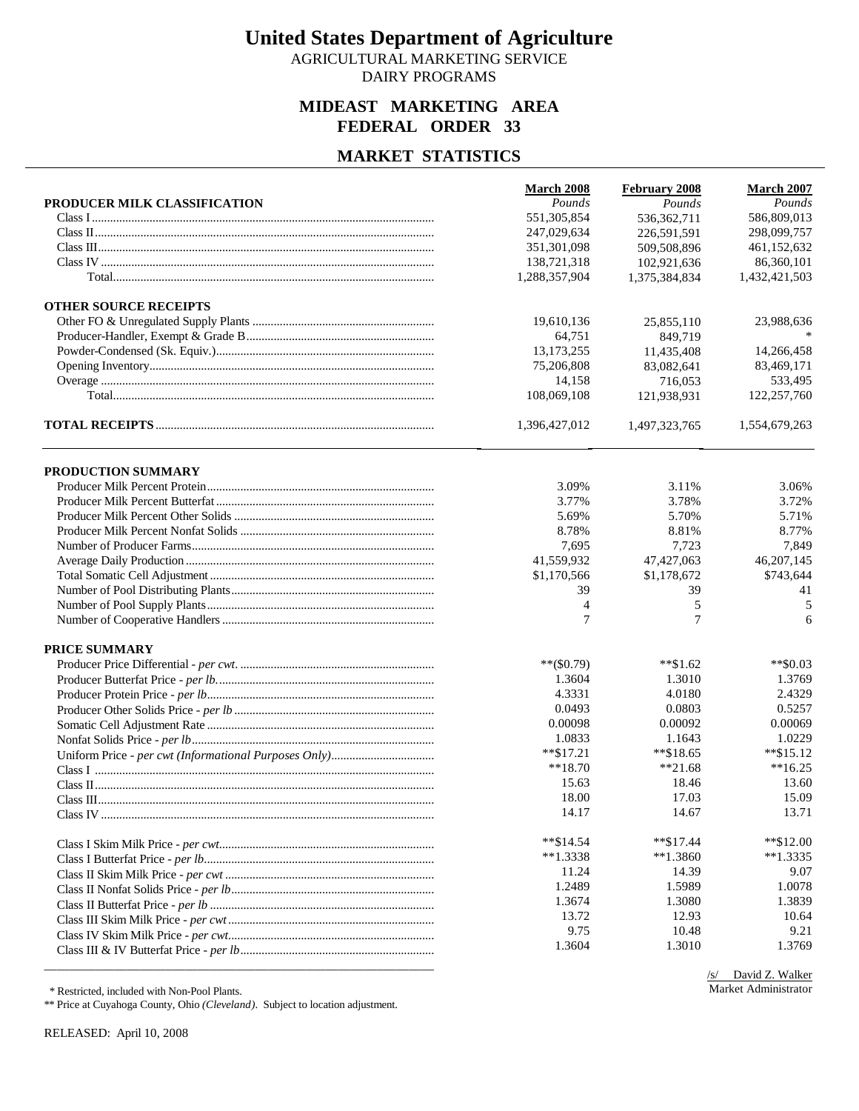AGRICULTURAL MARKETING SERVICE DAIRY PROGRAMS

### **MIDEAST MARKETING AREA FEDERAL ORDER 33**

#### **MARKET STATISTICS**

|                              | March 2008     | February 2008 | March 2007    |
|------------------------------|----------------|---------------|---------------|
| PRODUCER MILK CLASSIFICATION | Pounds         | Pounds        | Pounds        |
|                              | 551,305,854    | 536, 362, 711 | 586,809,013   |
|                              | 247.029.634    | 226.591.591   | 298,099,757   |
|                              | 351,301,098    | 509,508,896   | 461,152,632   |
|                              | 138,721,318    | 102,921,636   | 86,360,101    |
|                              | 1,288,357,904  | 1,375,384,834 | 1,432,421,503 |
| <b>OTHER SOURCE RECEIPTS</b> |                |               |               |
|                              | 19,610,136     | 25,855,110    | 23,988,636    |
|                              | 64,751         | 849,719       |               |
|                              | 13, 173, 255   | 11,435,408    | 14,266,458    |
|                              | 75,206,808     | 83,082,641    | 83,469,171    |
|                              | 14,158         | 716,053       | 533,495       |
|                              | 108,069,108    | 121,938,931   | 122,257,760   |
|                              | 1,396,427,012  | 1,497,323,765 | 1,554,679,263 |
| PRODUCTION SUMMARY           |                |               |               |
|                              | 3.09%          | 3.11%         | 3.06%         |
|                              | 3.77%          | 3.78%         | 3.72%         |
|                              | 5.69%          | 5.70%         | 5.71%         |
|                              | 8.78%          | 8.81%         | 8.77%         |
|                              | 7,695          | 7,723         | 7,849         |
|                              | 41,559,932     | 47, 427, 063  | 46,207,145    |
|                              | \$1,170,566    | \$1,178,672   | \$743,644     |
|                              | 39             | 39            | 41            |
|                              | $\overline{4}$ | 5             | 5             |
|                              | 7              | 7             | 6             |
| <b>PRICE SUMMARY</b>         |                |               |               |
|                              | $**$ (\$0.79)  | $**\$1.62$    | $**$ \$0.03   |
|                              | 1.3604         | 1.3010        | 1.3769        |
|                              | 4.3331         | 4.0180        | 2.4329        |
|                              | 0.0493         | 0.0803        | 0.5257        |
|                              | 0.00098        | 0.00092       | 0.00069       |
|                              | 1.0833         | 1.1643        | 1.0229        |
|                              | $*$ \$17.21    | $*$ $$18.65$  | $*$ \$15.12   |
|                              | $**18.70$      | $*21.68$      | $**16.25$     |
|                              | 15.63          | 18.46         | 13.60         |
|                              | 18.00          | 17.03         | 15.09         |
|                              | 14.17          | 14.67         | 13.71         |
|                              | $*$ $$14.54$   | $*$ $$17.44$  | $*$ \$12.00   |
|                              | $*1.3338$      | $**1.3860$    | $*1.3335$     |
|                              | 11.24          | 14.39         | 9.07          |
|                              | 1.2489         | 1.5989        | 1.0078        |
|                              | 1.3674         | 1.3080        | 1.3839        |
|                              | 13.72          | 12.93         | 10.64         |
|                              | 9.75           | 10.48         | 9.21          |
|                              | 1.3604         | 1.3010        | 1.3769        |
|                              |                |               |               |

\* Restricted, included with Non-Pool Plants.

\*\* Price at Cuyahoga County, Ohio *(Cleveland)*. Subject to location adjustment.

RELEASED: April 10, 2008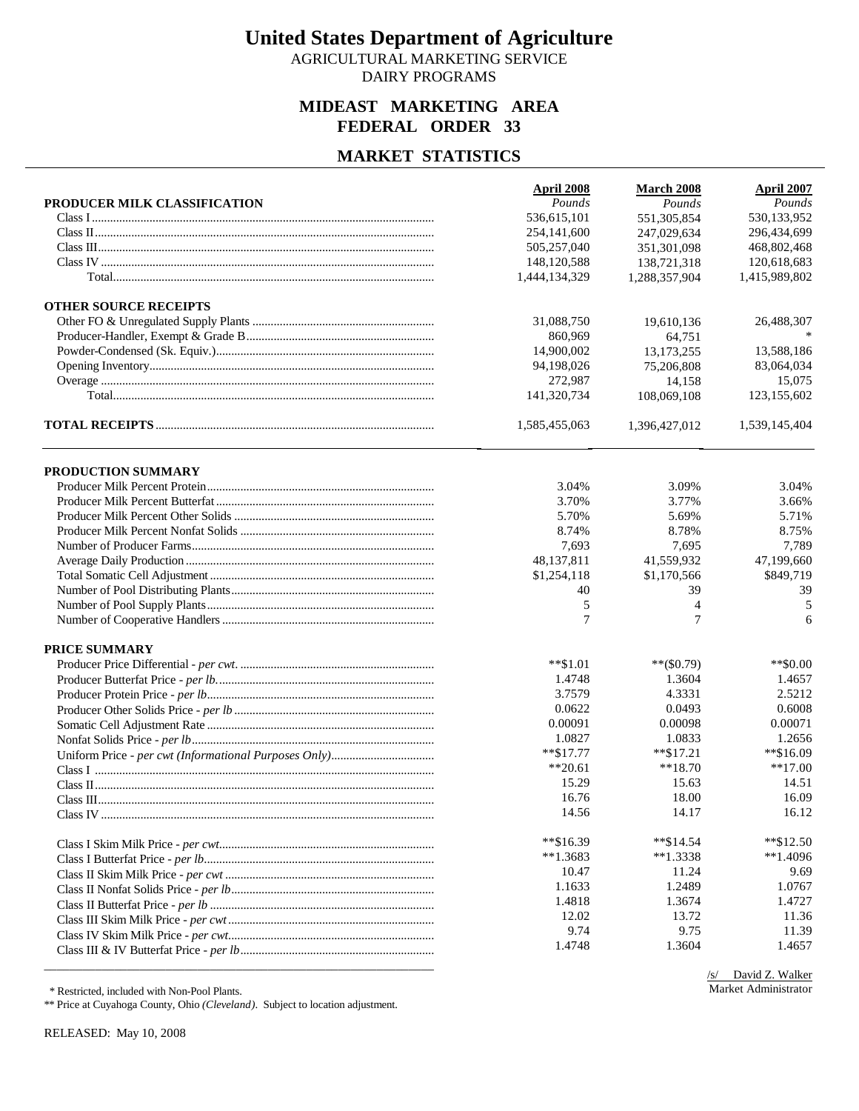AGRICULTURAL MARKETING SERVICE DAIRY PROGRAMS

### **MIDEAST MARKETING AREA FEDERAL ORDER 33**

#### **MARKET STATISTICS**

|                              | April 2008    | <b>March 2008</b> | <b>April 2007</b> |
|------------------------------|---------------|-------------------|-------------------|
| PRODUCER MILK CLASSIFICATION | Pounds        | Pounds            | Pounds            |
|                              | 536,615,101   | 551,305,854       | 530,133,952       |
|                              | 254,141,600   | 247,029,634       | 296,434,699       |
|                              | 505,257,040   | 351,301,098       | 468,802,468       |
|                              | 148,120,588   | 138,721,318       | 120,618,683       |
|                              | 1,444,134,329 | 1,288,357,904     | 1,415,989,802     |
| <b>OTHER SOURCE RECEIPTS</b> |               |                   |                   |
|                              | 31,088,750    | 19,610,136        | 26,488,307        |
|                              | 860,969       | 64,751            |                   |
|                              | 14,900,002    | 13,173,255        | 13,588,186        |
|                              | 94,198,026    | 75,206,808        | 83,064,034        |
|                              | 272,987       | 14,158            | 15,075            |
|                              | 141,320,734   | 108,069,108       | 123,155,602       |
|                              | 1,585,455,063 | 1,396,427,012     | 1,539,145,404     |
| PRODUCTION SUMMARY           |               |                   |                   |
|                              | 3.04%         | 3.09%             | 3.04%             |
|                              | 3.70%         | 3.77%             | 3.66%             |
|                              | 5.70%         | 5.69%             | 5.71%             |
|                              | 8.74%         | 8.78%             | 8.75%             |
|                              | 7,693         | 7,695             | 7,789             |
|                              | 48,137,811    | 41,559,932        | 47,199,660        |
|                              | \$1,254,118   | \$1,170,566       | \$849,719         |
|                              | 40            | 39                | 39                |
|                              | 5             | 4                 | 5                 |
|                              | 7             | 7                 | 6                 |
| <b>PRICE SUMMARY</b>         |               |                   |                   |
|                              | $***1.01$     | $**$ (\$0.79)     | $**$ \$0.00       |
|                              | 1.4748        | 1.3604            | 1.4657            |
|                              | 3.7579        | 4.3331            | 2.5212            |
|                              | 0.0622        | 0.0493            | 0.6008            |
|                              | 0.00091       | 0.00098           | 0.00071           |
|                              | 1.0827        | 1.0833            | 1.2656            |
|                              | $**\$17.77$   | $*$ $$17.21$      | **\$16.09         |
|                              | $**20.61$     | $**18.70$         | $**17.00$         |
|                              | 15.29         | 15.63             | 14.51             |
|                              | 16.76         | 18.00             | 16.09             |
|                              | 14.56         | 14.17             | 16.12             |
|                              | **\$16.39     | $*$ $$14.54$      | $*$ \$12.50       |
|                              | $**1.3683$    | $**1.3338$        | $*1.4096$         |
|                              | 10.47         | 11.24             | 9.69              |
|                              | 1.1633        | 1.2489            | 1.0767            |
|                              | 1.4818        | 1.3674            | 1.4727            |
|                              | 12.02         | 13.72             | 11.36             |
|                              | 9.74          | 9.75              | 11.39             |
|                              | 1.4748        | 1.3604            | 1.4657            |
|                              |               |                   |                   |

\* Restricted, included with Non-Pool Plants.

\*\* Price at Cuyahoga County, Ohio *(Cleveland)*. Subject to location adjustment.

RELEASED: May 10, 2008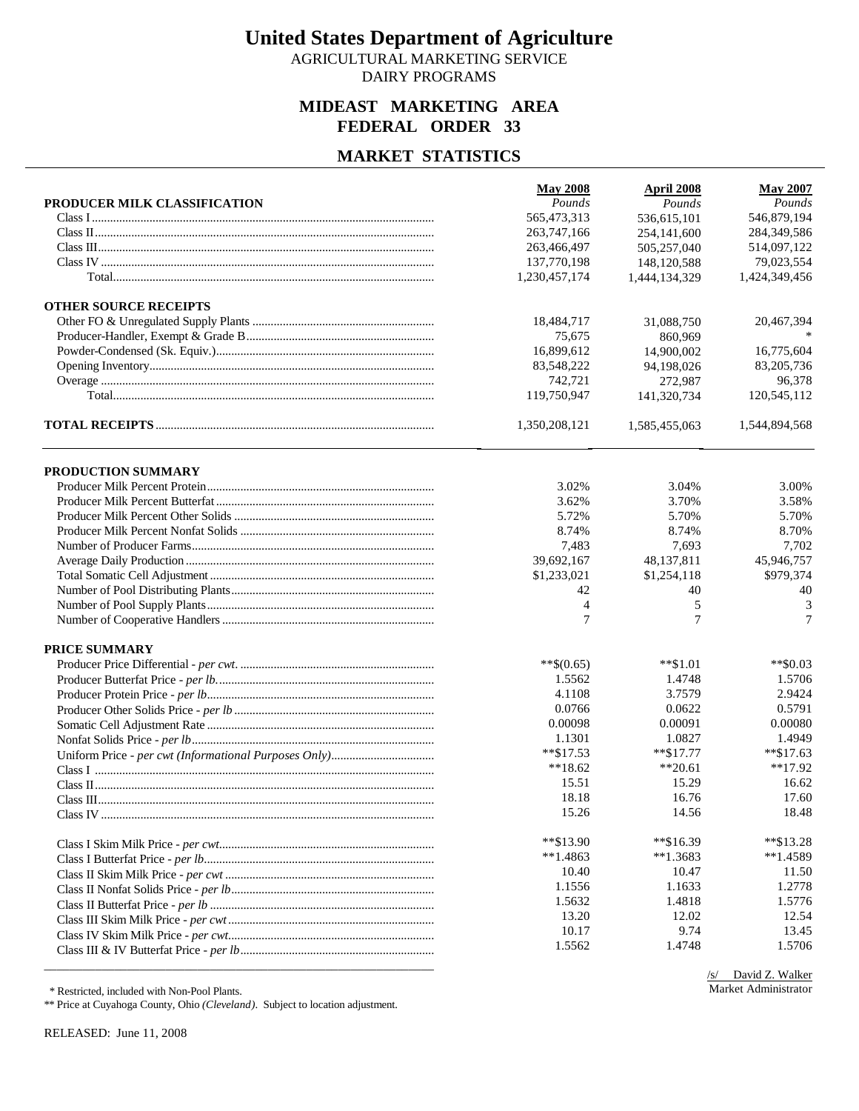AGRICULTURAL MARKETING SERVICE DAIRY PROGRAMS

### **MIDEAST MARKETING AREA FEDERAL ORDER 33**

### **MARKET STATISTICS**

|                              | <b>May 2008</b> | <b>April 2008</b> | <b>May 2007</b> |
|------------------------------|-----------------|-------------------|-----------------|
| PRODUCER MILK CLASSIFICATION | Pounds          | Pounds            | Pounds          |
|                              | 565,473,313     | 536,615,101       | 546,879,194     |
|                              | 263,747,166     | 254,141,600       | 284,349,586     |
|                              | 263,466,497     | 505,257,040       | 514,097,122     |
|                              | 137,770,198     | 148,120,588       | 79,023,554      |
|                              | 1,230,457,174   | 1,444,134,329     | 1,424,349,456   |
| <b>OTHER SOURCE RECEIPTS</b> |                 |                   |                 |
|                              | 18,484,717      | 31,088,750        | 20,467,394      |
|                              | 75,675          | 860.969           |                 |
|                              | 16,899,612      | 14,900,002        | 16,775,604      |
|                              | 83,548,222      | 94,198,026        | 83,205,736      |
|                              | 742,721         | 272,987           | 96,378          |
|                              | 119,750,947     | 141,320,734       | 120,545,112     |
|                              | 1,350,208,121   | 1,585,455,063     | 1,544,894,568   |
| PRODUCTION SUMMARY           |                 |                   |                 |
|                              | 3.02%           | 3.04%             | 3.00%           |
|                              | 3.62%           | 3.70%             | 3.58%           |
|                              | 5.72%           | 5.70%             | 5.70%           |
|                              | 8.74%           | 8.74%             | 8.70%           |
|                              | 7,483           | 7,693             | 7,702           |
|                              | 39,692,167      | 48,137,811        | 45,946,757      |
|                              | \$1,233,021     | \$1,254,118       | \$979,374       |
|                              | 42              | 40                | 40              |
|                              | $\overline{4}$  | 5                 | 3               |
|                              | 7               | $\overline{7}$    | 7               |
| <b>PRICE SUMMARY</b>         |                 |                   |                 |
|                              | $**$(0.65)$     | $*$ \$1.01        | $*$ \$0.03      |
|                              | 1.5562          | 1.4748            | 1.5706          |
|                              | 4.1108          | 3.7579            | 2.9424          |
|                              | 0.0766          | 0.0622            | 0.5791          |
|                              | 0.00098         | 0.00091           | 0.00080         |
|                              | 1.1301          | 1.0827            | 1.4949          |
|                              | $*$ $$17.53$    | $***$ \$17.77     | $*$ \$17.63     |
|                              | $**18.62$       | $**20.61$         | $**17.92$       |
|                              | 15.51           | 15.29             | 16.62           |
|                              | 18.18           | 16.76             | 17.60           |
|                              | 15.26           | 14.56             | 18.48           |
|                              | **\$13.90       | $*$ $$16.39$      | $*$ \$13.28     |
|                              | $**1.4863$      | $*1.3683$         | $*1.4589$       |
|                              | 10.40           | 10.47             | 11.50           |
|                              | 1.1556          | 1.1633            | 1.2778          |
|                              | 1.5632          | 1.4818            | 1.5776          |
|                              | 13.20           | 12.02             | 12.54           |
|                              | 10.17           | 9.74              | 13.45           |
|                              | 1.5562          | 1.4748            | 1.5706          |
|                              |                 |                   |                 |

\* Restricted, included with Non-Pool Plants.

\*\* Price at Cuyahoga County, Ohio *(Cleveland)*. Subject to location adjustment.

RELEASED: June 11, 2008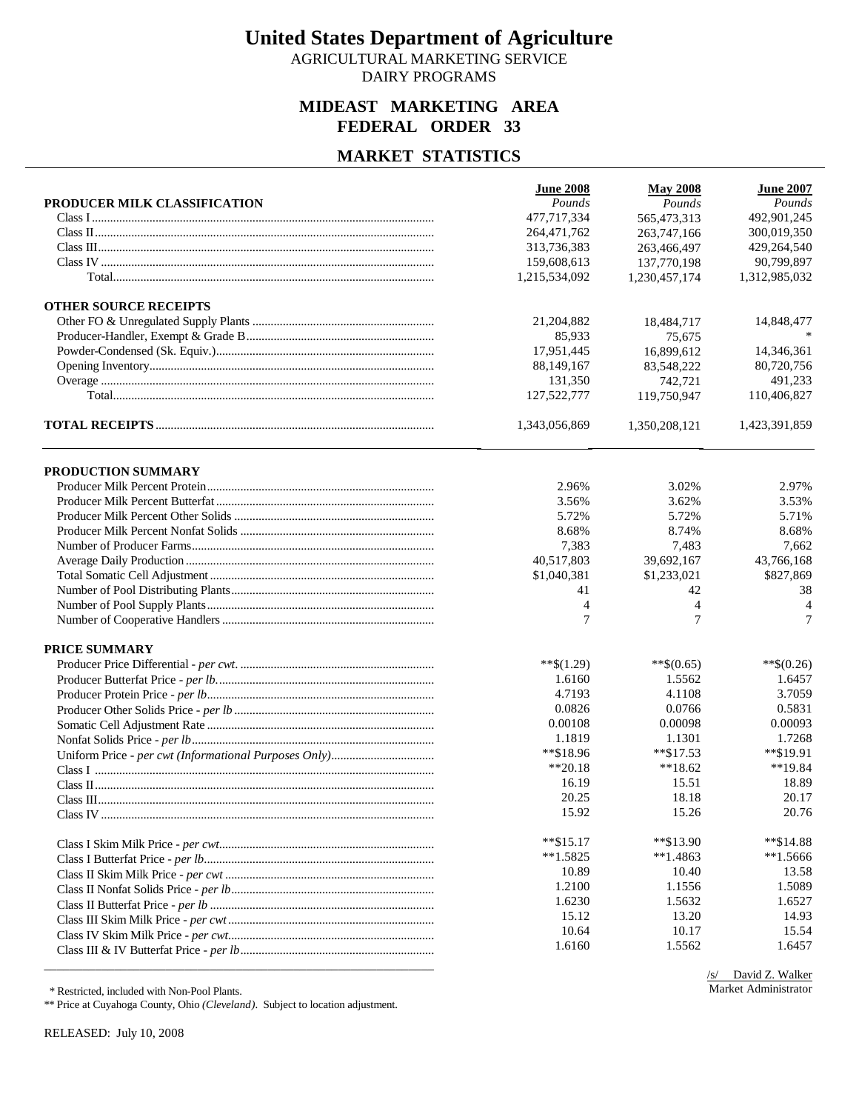AGRICULTURAL MARKETING SERVICE DAIRY PROGRAMS

### **MIDEAST MARKETING AREA FEDERAL ORDER 33**

#### **MARKET STATISTICS**

|                              | <b>June 2008</b>             | <b>May 2008</b>              | <b>June 2007</b>            |
|------------------------------|------------------------------|------------------------------|-----------------------------|
| PRODUCER MILK CLASSIFICATION | Pounds<br>477,717,334        | Pounds                       | Pounds                      |
|                              |                              | 565,473,313                  | 492,901,245                 |
|                              | 264,471,762                  | 263,747,166                  | 300,019,350                 |
|                              | 313,736,383                  | 263,466,497                  | 429,264,540                 |
|                              | 159,608,613<br>1,215,534,092 | 137,770,198<br>1,230,457,174 | 90,799,897<br>1,312,985,032 |
|                              |                              |                              |                             |
| <b>OTHER SOURCE RECEIPTS</b> |                              |                              |                             |
|                              | 21,204,882                   | 18,484,717                   | 14,848,477                  |
|                              | 85,933                       | 75,675                       |                             |
|                              | 17,951,445                   | 16,899,612                   | 14,346,361                  |
|                              | 88,149,167                   | 83,548,222                   | 80,720,756                  |
|                              | 131,350                      | 742,721                      | 491,233                     |
|                              | 127,522,777                  | 119,750,947                  | 110,406,827                 |
|                              | 1,343,056,869                | 1,350,208,121                | 1,423,391,859               |
|                              |                              |                              |                             |
| PRODUCTION SUMMARY           | 2.96%                        | 3.02%                        | 2.97%                       |
|                              | 3.56%                        | 3.62%                        | 3.53%                       |
|                              | 5.72%                        | 5.72%                        | 5.71%                       |
|                              | 8.68%                        | 8.74%                        | 8.68%                       |
|                              | 7,383                        | 7,483                        | 7,662                       |
|                              | 40,517,803                   | 39,692,167                   | 43,766,168                  |
|                              | \$1,040,381                  | \$1,233,021                  | \$827,869                   |
|                              | 41                           | 42                           | 38                          |
|                              | 4                            | $\overline{4}$               | $\overline{4}$              |
|                              | 7                            | $\overline{7}$               | 7                           |
| <b>PRICE SUMMARY</b>         |                              |                              |                             |
|                              | $**$(1.29)$                  | $**\$(0.65)$                 | $**\$(0.26)$                |
|                              | 1.6160                       | 1.5562                       | 1.6457                      |
|                              | 4.7193                       | 4.1108                       | 3.7059                      |
|                              | 0.0826                       | 0.0766                       | 0.5831                      |
|                              | 0.00108                      | 0.00098                      | 0.00093                     |
|                              | 1.1819                       | 1.1301                       | 1.7268                      |
|                              | **\$18.96                    | $*$ \$17.53                  | **\$19.91                   |
|                              | $**20.18$                    | $**18.62$                    | **19.84                     |
|                              | 16.19                        | 15.51                        | 18.89                       |
|                              | 20.25                        | 18.18                        | 20.17                       |
|                              | 15.92                        | 15.26                        | 20.76                       |
|                              |                              |                              |                             |
|                              | $*$ \$15.17                  | **\$13.90                    | **\$14.88                   |
|                              | $**1.5825$                   | $*1.4863$                    | $**1.5666$                  |
|                              | 10.89                        | 10.40                        | 13.58                       |
|                              | 1.2100                       | 1.1556                       | 1.5089                      |
|                              | 1.6230                       | 1.5632                       | 1.6527                      |
|                              | 15.12                        | 13.20                        | 14.93                       |
|                              | 10.64                        | 10.17                        | 15.54                       |
|                              | 1.6160                       | 1.5562                       | 1.6457                      |
|                              |                              |                              |                             |

\* Restricted, included with Non-Pool Plants.

\*\* Price at Cuyahoga County, Ohio *(Cleveland)*. Subject to location adjustment.

RELEASED: July 10, 2008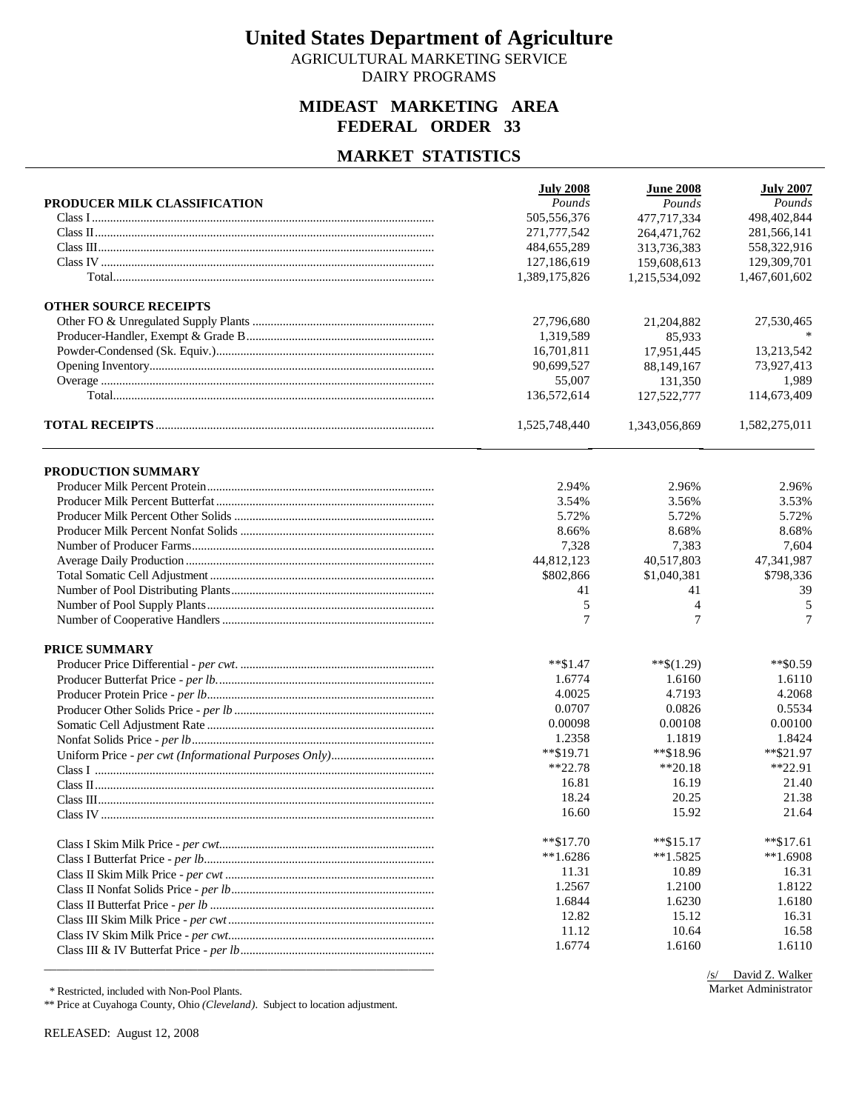AGRICULTURAL MARKETING SERVICE DAIRY PROGRAMS

### **MIDEAST MARKETING AREA FEDERAL ORDER 33**

### **MARKET STATISTICS**

|                              | <b>July 2008</b> | <b>June 2008</b> | <b>July 2007</b> |
|------------------------------|------------------|------------------|------------------|
| PRODUCER MILK CLASSIFICATION | Pounds           | Pounds           | Pounds           |
|                              | 505,556,376      | 477,717,334      | 498,402,844      |
|                              | 271,777,542      | 264,471,762      | 281,566,141      |
|                              | 484, 655, 289    | 313,736,383      | 558,322,916      |
|                              | 127,186,619      | 159,608,613      | 129,309,701      |
|                              | 1,389,175,826    | 1,215,534,092    | 1,467,601,602    |
| <b>OTHER SOURCE RECEIPTS</b> |                  |                  |                  |
|                              | 27,796,680       | 21,204,882       | 27,530,465       |
|                              | 1,319,589        | 85,933           |                  |
|                              | 16,701,811       | 17,951,445       | 13,213,542       |
|                              | 90,699,527       | 88,149,167       | 73,927,413       |
|                              | 55,007           | 131,350          | 1,989            |
|                              | 136,572,614      | 127,522,777      | 114,673,409      |
|                              | 1,525,748,440    | 1,343,056,869    | 1,582,275,011    |
| PRODUCTION SUMMARY           |                  |                  |                  |
|                              | 2.94%            | 2.96%            | 2.96%            |
|                              | 3.54%            | 3.56%            | 3.53%            |
|                              | 5.72%            | 5.72%            | 5.72%            |
|                              | 8.66%            | 8.68%            | 8.68%            |
|                              | 7,328            | 7,383            | 7,604            |
|                              | 44,812,123       | 40,517,803       | 47,341,987       |
|                              | \$802,866        | \$1,040,381      | \$798,336        |
|                              | 41               | 41               | 39               |
|                              | 5                | $\overline{4}$   | 5                |
|                              | 7                | $\tau$           | $\tau$           |
| <b>PRICE SUMMARY</b>         |                  |                  |                  |
|                              | $*$ $$1.47$      | $**\$(1.29)$     | $*$ $$0.59$      |
|                              | 1.6774           | 1.6160           | 1.6110           |
|                              | 4.0025           | 4.7193           | 4.2068           |
|                              | 0.0707           | 0.0826           | 0.5534           |
|                              | 0.00098          | 0.00108          | 0.00100          |
|                              | 1.2358           | 1.1819           | 1.8424           |
|                              | **\$19.71        | $*$ $$18.96$     | $*$ \$21.97      |
|                              | $**22.78$        | $**20.18$        | $*22.91$         |
|                              | 16.81            | 16.19            | 21.40            |
|                              | 18.24            | 20.25            | 21.38            |
|                              | 16.60            | 15.92            | 21.64            |
|                              | $*$ $$17.70$     | $*$ $$15.17$     | $*$ \$17.61      |
|                              | $**1.6286$       | $**1.5825$       | $**1.6908$       |
|                              | 11.31            | 10.89            | 16.31            |
|                              | 1.2567           | 1.2100           | 1.8122           |
|                              | 1.6844           | 1.6230           | 1.6180           |
|                              | 12.82            | 15.12            | 16.31            |
|                              | 11.12            | 10.64            | 16.58            |
|                              | 1.6774           | 1.6160           | 1.6110           |
|                              |                  |                  |                  |

\* Restricted, included with Non-Pool Plants.

\*\* Price at Cuyahoga County, Ohio *(Cleveland)*. Subject to location adjustment.

RELEASED: August 12, 2008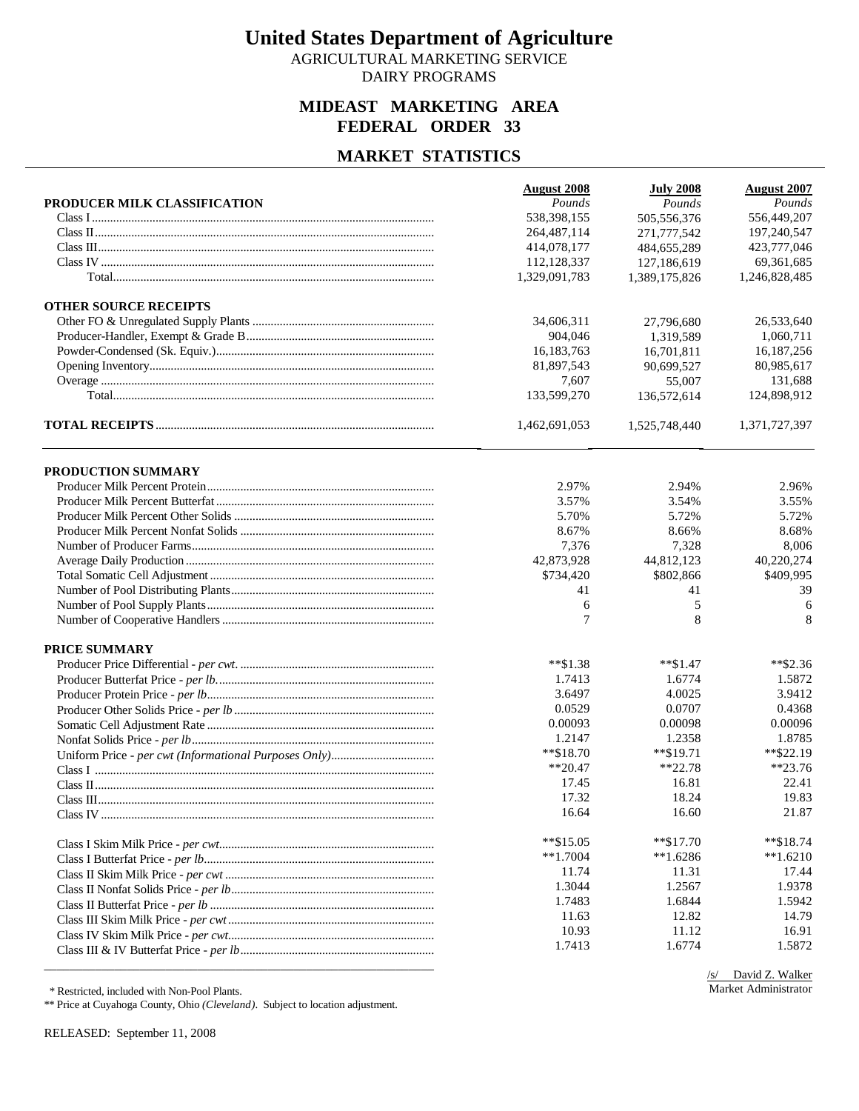AGRICULTURAL MARKETING SERVICE DAIRY PROGRAMS

### **MIDEAST MARKETING AREA FEDERAL ORDER 33**

#### **MARKET STATISTICS**

|                              | <b>August 2008</b> | <b>July 2008</b> | <b>August 2007</b> |
|------------------------------|--------------------|------------------|--------------------|
| PRODUCER MILK CLASSIFICATION | Pounds             | Pounds           | Pounds             |
|                              | 538,398,155        | 505,556,376      | 556,449,207        |
|                              | 264,487,114        | 271,777,542      | 197,240,547        |
|                              | 414,078,177        | 484,655,289      | 423,777,046        |
|                              | 112,128,337        | 127,186,619      | 69,361,685         |
|                              | 1,329,091,783      | 1,389,175,826    | 1,246,828,485      |
| <b>OTHER SOURCE RECEIPTS</b> |                    |                  |                    |
|                              | 34,606,311         | 27,796,680       | 26,533,640         |
|                              | 904,046            | 1,319,589        | 1,060,711          |
|                              | 16,183,763         | 16,701,811       | 16.187.256         |
|                              | 81,897,543         | 90,699,527       | 80,985,617         |
|                              | 7,607              | 55,007           | 131,688            |
|                              | 133,599,270        | 136,572,614      | 124,898,912        |
|                              | 1,462,691,053      | 1,525,748,440    | 1,371,727,397      |
| PRODUCTION SUMMARY           |                    |                  |                    |
|                              | 2.97%              | 2.94%            | 2.96%              |
|                              | 3.57%              | 3.54%            | 3.55%              |
|                              | 5.70%              | 5.72%            | 5.72%              |
|                              | 8.67%              | 8.66%            | 8.68%              |
|                              | 7,376              | 7,328            | 8,006              |
|                              | 42,873,928         | 44,812,123       | 40,220,274         |
|                              | \$734,420          | \$802,866        | \$409,995          |
|                              | 41                 | 41               | 39                 |
|                              | 6                  | 5                | 6                  |
|                              | 7                  | 8                | 8                  |
| <b>PRICE SUMMARY</b>         |                    |                  |                    |
|                              | $*$ $$1.38$        | $**\$1.47$       | $**\$2.36$         |
|                              | 1.7413             | 1.6774           | 1.5872             |
|                              | 3.6497             | 4.0025           | 3.9412             |
|                              | 0.0529             | 0.0707           | 0.4368             |
|                              | 0.00093            | 0.00098          | 0.00096            |
|                              | 1.2147             | 1.2358           | 1.8785             |
|                              | $*$ \$18.70        | $*$ $$19.71$     | **\$22.19          |
|                              | $**20.47$          | $*22.78$         | $**23.76$          |
|                              | 17.45              | 16.81            | 22.41              |
|                              | 17.32              | 18.24            | 19.83              |
|                              | 16.64              | 16.60            | 21.87              |
|                              | $*$ \$15.05        | $**\$17.70$      | $*$ \$18.74        |
|                              | $**1.7004$         | $**1.6286$       | $*1.6210$          |
|                              | 11.74              | 11.31            | 17.44              |
|                              | 1.3044             | 1.2567           | 1.9378             |
|                              | 1.7483             | 1.6844           | 1.5942             |
|                              | 11.63              | 12.82            | 14.79              |
|                              | 10.93              | 11.12            | 16.91              |
|                              | 1.7413             | 1.6774           | 1.5872             |
|                              |                    |                  |                    |

\* Restricted, included with Non-Pool Plants.

\*\* Price at Cuyahoga County, Ohio *(Cleveland)*. Subject to location adjustment.

RELEASED: September 11, 2008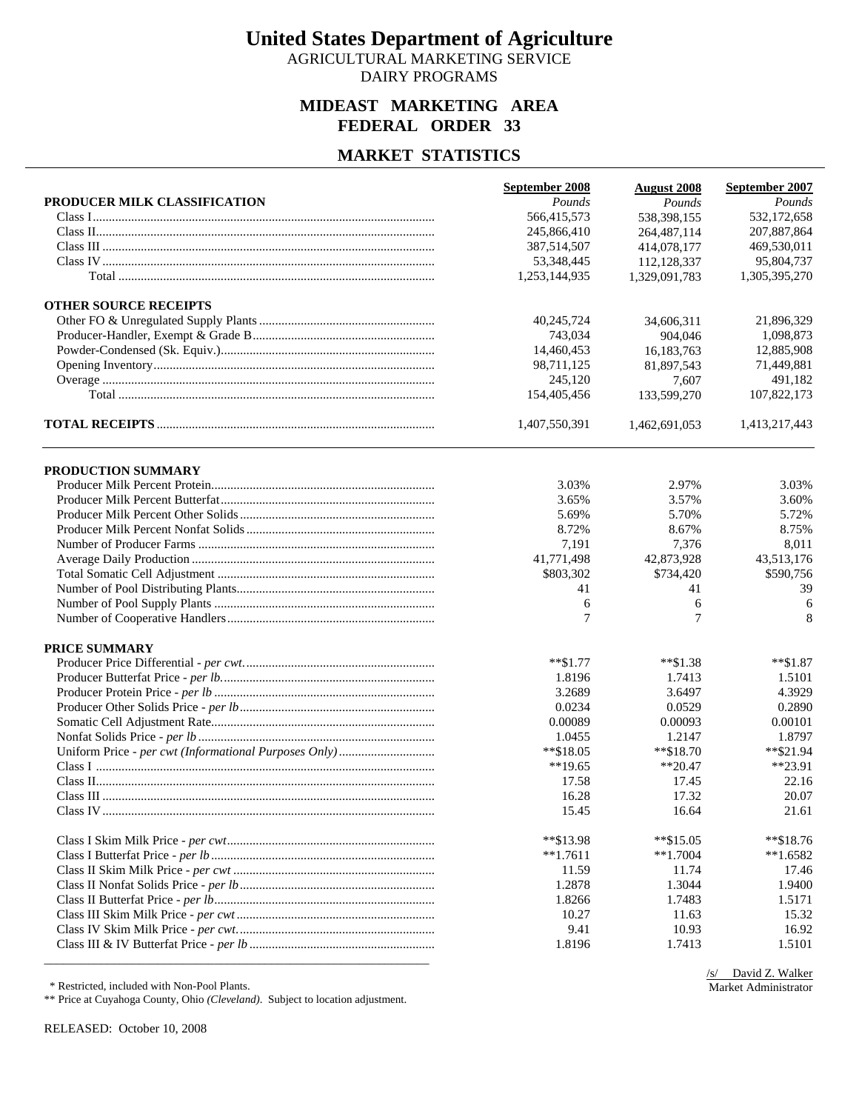AGRICULTURAL MARKETING SERVICE DAIRY PROGRAMS

### **MIDEAST MARKETING AREA FEDERAL ORDER 33**

## **MARKET STATISTICS**

|                              | September 2008 | <b>August 2008</b> | September 2007 |
|------------------------------|----------------|--------------------|----------------|
| PRODUCER MILK CLASSIFICATION | Pounds         | Pounds             | Pounds         |
|                              | 566,415,573    | 538,398,155        | 532,172,658    |
|                              | 245,866,410    | 264, 487, 114      | 207,887,864    |
|                              | 387,514,507    | 414,078,177        | 469,530,011    |
|                              | 53,348,445     | 112,128,337        | 95,804,737     |
|                              | 1,253,144,935  | 1,329,091,783      | 1,305,395,270  |
| <b>OTHER SOURCE RECEIPTS</b> |                |                    |                |
|                              | 40,245,724     | 34,606,311         | 21,896,329     |
|                              | 743,034        | 904,046            | 1,098,873      |
|                              | 14,460,453     | 16,183,763         | 12,885,908     |
|                              | 98,711,125     | 81,897,543         | 71,449,881     |
|                              | 245,120        | 7,607              | 491,182        |
|                              | 154,405,456    | 133,599,270        | 107,822,173    |
|                              | 1,407,550,391  | 1,462,691,053      | 1,413,217,443  |
| PRODUCTION SUMMARY           |                |                    |                |
|                              | 3.03%          | 2.97%              | 3.03%          |
|                              | 3.65%          | 3.57%              | 3.60%          |
|                              | 5.69%          | 5.70%              | 5.72%          |
|                              | 8.72%          | 8.67%              | 8.75%          |
|                              | 7,191          | 7,376              | 8,011          |
|                              | 41,771,498     | 42,873,928         | 43,513,176     |
|                              | \$803,302      | \$734,420          | \$590,756      |
|                              | 41             | 41                 | 39             |
|                              | 6              | 6                  | 6              |
|                              | 7              | $\tau$             | 8              |
| <b>PRICE SUMMARY</b>         |                |                    |                |
|                              | $**\$1.77$     | $*$ $$1.38$        | $*$ $$1.87$    |
|                              | 1.8196         | 1.7413             | 1.5101         |
|                              | 3.2689         | 3.6497             | 4.3929         |
|                              | 0.0234         | 0.0529             | 0.2890         |
|                              | 0.00089        | 0.00093            | 0.00101        |
|                              | 1.0455         | 1.2147             | 1.8797         |
|                              | **\$18.05      | $*$ \$18.70        | **\$21.94      |
|                              | $**19.65$      | $**20.47$          | **23.91        |
|                              | 17.58          | 17.45              | 22.16          |
|                              | 16.28          | 17.32              | 20.07          |
|                              | 15.45          | 16.64              | 21.61          |
|                              | **\$13.98      | $*$ \$15.05        | $*$ \$18.76    |
|                              | $*1.7611$      | $**1.7004$         | $*1.6582$      |
|                              |                | 11.74              | 17.46          |
|                              | 11.59          |                    |                |
|                              | 1.2878         | 1.3044             | 1.9400         |
|                              | 1.8266         | 1.7483             | 1.5171         |
|                              | 10.27          | 11.63              | 15.32          |
|                              | 9.41<br>1.8196 | 10.93<br>1.7413    | 16.92          |

\* Restricted, included with Non-Pool Plants.

\*\* Price at Cuyahoga County, Ohio *(Cleveland)*. Subject to location adjustment.

RELEASED: October 10, 2008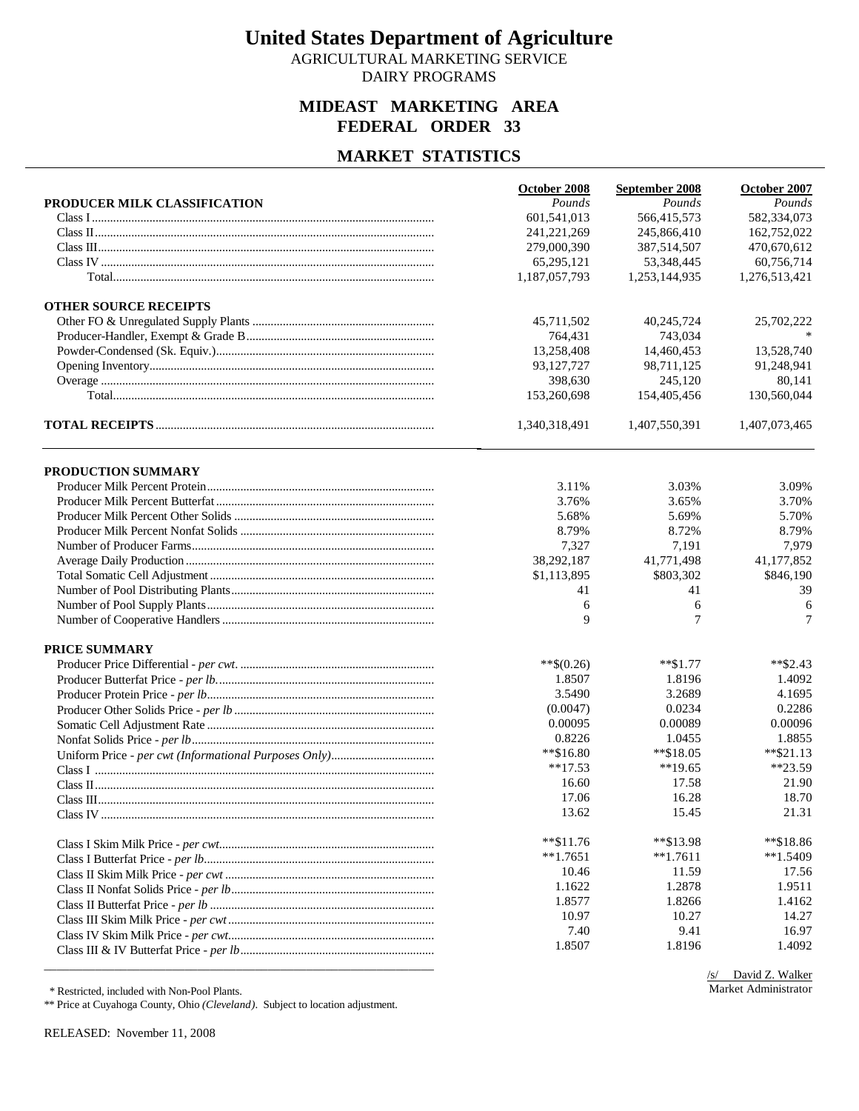AGRICULTURAL MARKETING SERVICE DAIRY PROGRAMS

### **MIDEAST MARKETING AREA FEDERAL ORDER 33**

#### **MARKET STATISTICS**

|                              | October 2008  | September 2008 | October 2007  |
|------------------------------|---------------|----------------|---------------|
| PRODUCER MILK CLASSIFICATION | Pounds        | Pounds         | Pounds        |
|                              | 601,541,013   | 566,415,573    | 582,334,073   |
|                              | 241,221,269   | 245,866,410    | 162,752,022   |
|                              | 279,000,390   | 387,514,507    | 470,670,612   |
|                              | 65,295,121    | 53,348,445     | 60,756,714    |
|                              | 1,187,057,793 | 1,253,144,935  | 1,276,513,421 |
| <b>OTHER SOURCE RECEIPTS</b> |               |                |               |
|                              | 45,711,502    | 40,245,724     | 25,702,222    |
|                              | 764,431       | 743,034        |               |
|                              | 13,258,408    | 14,460,453     | 13,528,740    |
|                              | 93,127,727    | 98,711,125     | 91,248,941    |
|                              | 398,630       | 245,120        | 80,141        |
|                              | 153,260,698   | 154,405,456    | 130,560,044   |
|                              | 1,340,318,491 | 1,407,550,391  | 1,407,073,465 |
| PRODUCTION SUMMARY           |               |                |               |
|                              | 3.11%         | 3.03%          | 3.09%         |
|                              | 3.76%         | 3.65%          | 3.70%         |
|                              | 5.68%         | 5.69%          | 5.70%         |
|                              | 8.79%         | 8.72%          | 8.79%         |
|                              | 7,327         | 7,191          | 7,979         |
|                              | 38,292,187    | 41,771,498     | 41,177,852    |
|                              | \$1,113,895   | \$803,302      | \$846,190     |
|                              | 41            | 41             | 39            |
|                              | 6             | 6              | 6             |
|                              | 9             | 7              | $\tau$        |
| <b>PRICE SUMMARY</b>         |               |                |               |
|                              | $**$ \$(0.26) | $**\$1.77$     | **\$2.43      |
|                              | 1.8507        | 1.8196         | 1.4092        |
|                              | 3.5490        | 3.2689         | 4.1695        |
|                              | (0.0047)      | 0.0234         | 0.2286        |
|                              | 0.00095       | 0.00089        | 0.00096       |
|                              | 0.8226        | 1.0455         | 1.8855        |
|                              | $*$ \$16.80   | $*$ \$18.05    | $*$ \$21.13   |
|                              | $**17.53$     | $**19.65$      | $**23.59$     |
|                              | 16.60         | 17.58          | 21.90         |
|                              | 17.06         | 16.28          | 18.70         |
|                              | 13.62         | 15.45          | 21.31         |
|                              |               |                |               |
|                              | $*$ $$11.76$  | **\$13.98      | **\$18.86     |
|                              | $**1.7651$    | $*1.7611$      | $*1.5409$     |
|                              | 10.46         | 11.59          | 17.56         |
|                              | 1.1622        | 1.2878         | 1.9511        |
|                              | 1.8577        | 1.8266         | 1.4162        |
|                              | 10.97         | 10.27          | 14.27         |
|                              | 7.40          | 9.41           | 16.97         |
|                              | 1.8507        | 1.8196         | 1.4092        |
|                              |               |                |               |

\* Restricted, included with Non-Pool Plants.

\*\* Price at Cuyahoga County, Ohio *(Cleveland)*. Subject to location adjustment.

RELEASED: November 11, 2008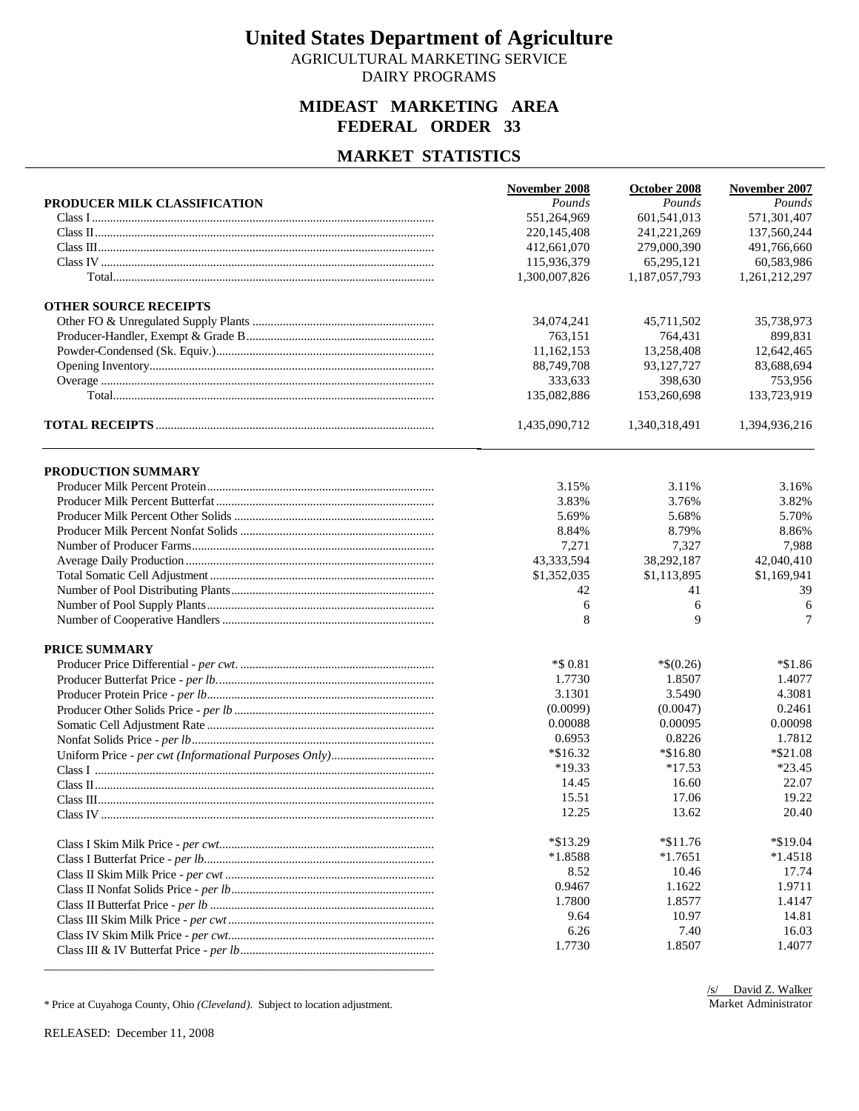AGRICULTURAL MARKETING SERVICE DAIRY PROGRAMS

### **MIDEAST MARKETING AREA FEDERAL ORDER 33**

### **MARKET STATISTICS**

|                              | November 2008 | October 2008  | November 2007 |
|------------------------------|---------------|---------------|---------------|
| PRODUCER MILK CLASSIFICATION | Pounds        | Pounds        | Pounds        |
|                              | 551,264,969   | 601,541,013   | 571,301,407   |
|                              | 220.145.408   | 241.221.269   | 137,560,244   |
|                              | 412,661,070   | 279,000,390   | 491,766,660   |
|                              | 115,936,379   | 65,295,121    | 60,583,986    |
|                              | 1,300,007,826 | 1,187,057,793 | 1,261,212,297 |
| <b>OTHER SOURCE RECEIPTS</b> |               |               |               |
|                              | 34,074,241    | 45,711,502    | 35,738,973    |
|                              | 763,151       | 764,431       | 899,831       |
|                              | 11,162,153    | 13,258,408    | 12,642,465    |
|                              | 88,749,708    | 93,127,727    | 83,688,694    |
|                              | 333,633       | 398,630       | 753,956       |
|                              | 135,082,886   | 153,260,698   | 133,723,919   |
|                              | 1,435,090,712 | 1,340,318,491 | 1,394,936,216 |
| PRODUCTION SUMMARY           |               |               |               |
|                              | 3.15%         | 3.11%         | 3.16%         |
|                              | 3.83%         | 3.76%         | 3.82%         |
|                              | 5.69%         | 5.68%         | 5.70%         |
|                              | 8.84%         | 8.79%         | 8.86%         |
|                              | 7,271         | 7,327         | 7,988         |
|                              | 43,333,594    | 38,292,187    | 42,040,410    |
|                              | \$1,352,035   | \$1,113,895   | \$1,169,941   |
|                              | 42            | 41            | 39            |
|                              | 6             | 6             | 6             |
|                              | 8             | 9             | 7             |
| <b>PRICE SUMMARY</b>         |               |               |               |
|                              | $*$ \$ 0.81   | $*$(0.26)$    | *\$1.86       |
|                              | 1.7730        | 1.8507        | 1.4077        |
|                              | 3.1301        | 3.5490        | 4.3081        |
|                              | (0.0099)      | (0.0047)      | 0.2461        |
|                              | 0.00088       | 0.00095       | 0.00098       |
|                              | 0.6953        | 0.8226        | 1.7812        |
|                              | $*\$16.32$    | $*16.80$      | $*$ \$21.08   |
|                              | $*19.33$      | $*17.53$      | $*23.45$      |
|                              | 14.45         | 16.60         | 22.07         |
|                              | 15.51         | 17.06         | 19.22         |
|                              | 12.25         | 13.62         | 20.40         |
|                              | $*\$13.29$    | $*\$11.76$    | *\$19.04      |
|                              | $*1.8588$     | $*1.7651$     | $*1.4518$     |
|                              | 8.52          | 10.46         | 17.74         |
|                              | 0.9467        | 1.1622        | 1.9711        |
|                              | 1.7800        | 1.8577        | 1.4147        |
|                              | 9.64          | 10.97         | 14.81         |
|                              | 6.26          | 7.40          | 16.03         |
|                              | 1.7730        | 1.8507        | 1.4077        |
|                              |               |               |               |

\* Price at Cuyahoga County, Ohio *(Cleveland)*. Subject to location adjustment.